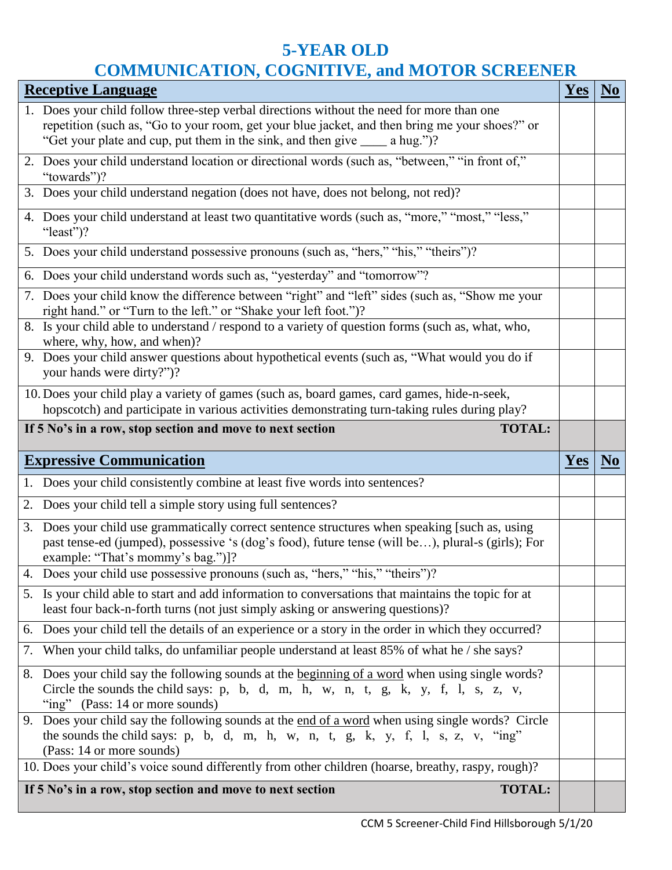## **5-YEAR OLD COMMUNICATION, COGNITIVE, and MOTOR SCREENER**

| <b>Receptive Language</b>                                                                                                                                                                                                                                               | Yes        | N <sub>0</sub> |
|-------------------------------------------------------------------------------------------------------------------------------------------------------------------------------------------------------------------------------------------------------------------------|------------|----------------|
| 1. Does your child follow three-step verbal directions without the need for more than one                                                                                                                                                                               |            |                |
| repetition (such as, "Go to your room, get your blue jacket, and then bring me your shoes?" or<br>"Get your plate and cup, put them in the sink, and then give ______ a hug.")?                                                                                         |            |                |
| 2. Does your child understand location or directional words (such as, "between," "in front of,"<br>"towards")?                                                                                                                                                          |            |                |
| 3. Does your child understand negation (does not have, does not belong, not red)?                                                                                                                                                                                       |            |                |
| 4. Does your child understand at least two quantitative words (such as, "more," "most," "less,"<br>"least")?                                                                                                                                                            |            |                |
| 5. Does your child understand possessive pronouns (such as, "hers," "his," "theirs")?                                                                                                                                                                                   |            |                |
| 6. Does your child understand words such as, "yesterday" and "tomorrow"?                                                                                                                                                                                                |            |                |
| 7. Does your child know the difference between "right" and "left" sides (such as, "Show me your<br>right hand." or "Turn to the left." or "Shake your left foot.")?                                                                                                     |            |                |
| 8. Is your child able to understand / respond to a variety of question forms (such as, what, who,<br>where, why, how, and when)?                                                                                                                                        |            |                |
| 9. Does your child answer questions about hypothetical events (such as, "What would you do if<br>your hands were dirty?")?                                                                                                                                              |            |                |
| 10. Does your child play a variety of games (such as, board games, card games, hide-n-seek,<br>hopscotch) and participate in various activities demonstrating turn-taking rules during play?                                                                            |            |                |
| If 5 No's in a row, stop section and move to next section<br><b>TOTAL:</b>                                                                                                                                                                                              |            |                |
|                                                                                                                                                                                                                                                                         |            |                |
| <b>Expressive Communication</b>                                                                                                                                                                                                                                         | <b>Yes</b> | N <sub>0</sub> |
| 1. Does your child consistently combine at least five words into sentences?                                                                                                                                                                                             |            |                |
| 2. Does your child tell a simple story using full sentences?                                                                                                                                                                                                            |            |                |
| 3. Does your child use grammatically correct sentence structures when speaking [such as, using<br>past tense-ed (jumped), possessive 's (dog's food), future tense (will be), plural-s (girls); For<br>example: "That's mommy's bag.")]?                                |            |                |
| 4. Does your child use possessive pronouns (such as, "hers," "his," "theirs")?                                                                                                                                                                                          |            |                |
| 5. Is your child able to start and add information to conversations that maintains the topic for at<br>least four back-n-forth turns (not just simply asking or answering questions)?                                                                                   |            |                |
| 6. Does your child tell the details of an experience or a story in the order in which they occurred?                                                                                                                                                                    |            |                |
| 7. When your child talks, do unfamiliar people understand at least 85% of what he / she says?                                                                                                                                                                           |            |                |
| 8. Does your child say the following sounds at the beginning of a word when using single words?<br>Circle the sounds the child says: $p$ , $b$ , $d$ , $m$ , $h$ , $w$ , $n$ , $t$ , $g$ , $k$ , $y$ , $f$ , $l$ , $s$ , $z$ , $v$ ,<br>"ing" (Pass: 14 or more sounds) |            |                |
| 9. Does your child say the following sounds at the end of a word when using single words? Circle<br>the sounds the child says: p, b, d, m, h, w, n, t, g, k, y, f, l, s, z, v, "ing"<br>(Pass: 14 or more sounds)                                                       |            |                |
| 10. Does your child's voice sound differently from other children (hoarse, breathy, raspy, rough)?                                                                                                                                                                      |            |                |